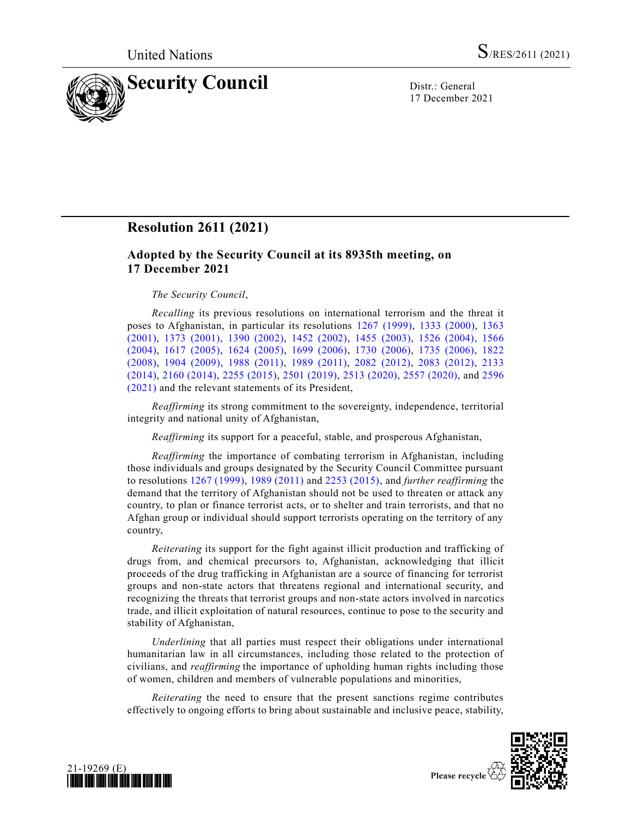

17 December 2021

# **Resolution 2611 (2021)**

## **Adopted by the Security Council at its 8935th meeting, on 17 December 2021**

#### *The Security Council*,

*Recalling* its previous resolutions on international terrorism and the threat it poses to Afghanistan, in particular its resolutions [1267 \(1999\),](https://undocs.org/en/S/RES/1267(1999)) [1333 \(2000\),](https://undocs.org/en/S/RES/1333(2000)) [1363](https://undocs.org/en/S/RES/1363(2001))  [\(2001\),](https://undocs.org/en/S/RES/1363(2001)) [1373 \(2001\),](https://undocs.org/en/S/RES/1373(2001)) [1390 \(2002\),](https://undocs.org/en/S/RES/1390(2002)) [1452 \(2002\),](https://undocs.org/en/S/RES/1452(2002)) [1455 \(2003\),](https://undocs.org/en/S/RES/1455(2003)) [1526 \(2004\),](https://undocs.org/en/S/RES/1526(2004)) [1566](https://undocs.org/en/S/RES/1566(2004))  [\(2004\),](https://undocs.org/en/S/RES/1566(2004)) [1617 \(2005\),](https://undocs.org/en/S/RES/1617(2005)) [1624 \(2005\),](https://undocs.org/en/S/RES/1624(2005)) [1699 \(2006\),](https://undocs.org/en/S/RES/1699(2006)) [1730 \(2006\),](https://undocs.org/en/S/RES/1730(2006)) [1735 \(2006\),](https://undocs.org/en/S/RES/1735(2006)) [1822](https://undocs.org/en/S/RES/1822(2008))  [\(2008\),](https://undocs.org/en/S/RES/1822(2008)) [1904 \(2009\),](https://undocs.org/en/S/RES/1904(2009)) [1988 \(2011\),](https://undocs.org/en/S/RES/1988(2011)) [1989 \(2011\),](https://undocs.org/en/S/RES/1989(2011)) [2082 \(2012\),](https://undocs.org/en/S/RES/2082(2012)) [2083 \(2012\),](https://undocs.org/en/S/RES/2083(2012)) [2133](https://undocs.org/en/S/RES/2133(2014))  [\(2014\),](https://undocs.org/en/S/RES/2133(2014)) [2160 \(2014\),](https://undocs.org/en/S/RES/2160(2014)) [2255 \(2015\),](https://undocs.org/en/S/RES/2255(2015)) [2501 \(2019\),](https://undocs.org/en/S/RES/2501(2019)) [2513 \(2020\),](https://undocs.org/en/S/RES/2513(2020)) [2557 \(2020\),](https://undocs.org/en/S/RES/2557(2020)) and [2596](https://undocs.org/en/S/RES/2596(2021))  [\(2021\)](https://undocs.org/en/S/RES/2596(2021)) and the relevant statements of its President,

*Reaffirming* its strong commitment to the sovereignty, independence, territorial integrity and national unity of Afghanistan,

*Reaffirming* its support for a peaceful, stable, and prosperous Afghanistan,

*Reaffirming* the importance of combating terrorism in Afghanistan, including those individuals and groups designated by the Security Council Committee pursuant to resolutions [1267 \(1999\),](https://undocs.org/en/S/RES/1267(1999)) [1989 \(2011\)](https://undocs.org/en/S/RES/1989(2011)) and [2253 \(2015\),](https://undocs.org/en/S/RES/2253(2015)) and *further reaffirming* the demand that the territory of Afghanistan should not be used to threaten or attack any country, to plan or finance terrorist acts, or to shelter and train terrorists, and that no Afghan group or individual should support terrorists operating on the territory of any country,

*Reiterating* its support for the fight against illicit production and trafficking of drugs from, and chemical precursors to, Afghanistan, acknowledging that illicit proceeds of the drug trafficking in Afghanistan are a source of financing for terrorist groups and non-state actors that threatens regional and international security, and recognizing the threats that terrorist groups and non-state actors involved in narcotics trade, and illicit exploitation of natural resources, continue to pose to the security and stability of Afghanistan,

*Underlining* that all parties must respect their obligations under international humanitarian law in all circumstances, including those related to the protection of civilians, and *reaffirming*the importance of upholding human rights including those of women, children and members of vulnerable populations and minorities,

*Reiterating* the need to ensure that the present sanctions regime contributes effectively to ongoing efforts to bring about sustainable and inclusive peace, stability,



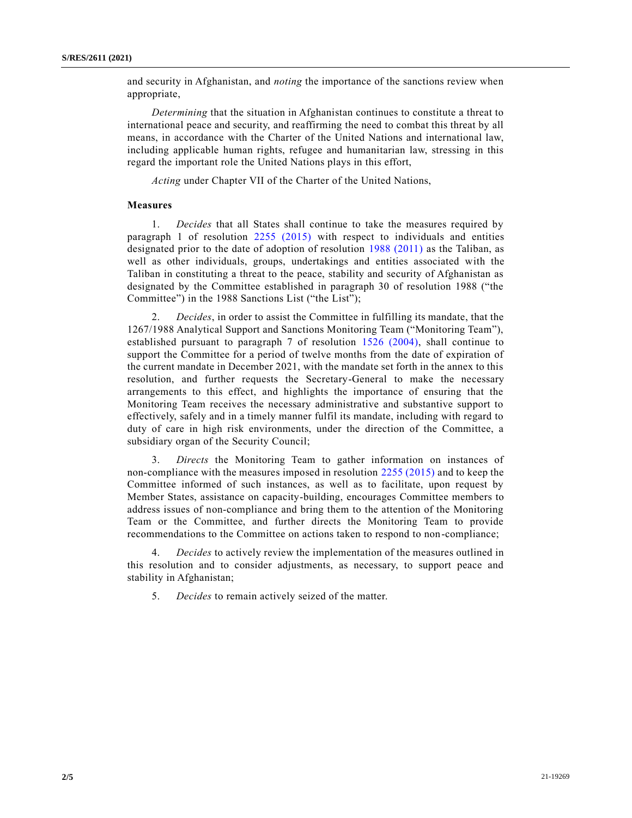and security in Afghanistan, and *noting* the importance of the sanctions review when appropriate,

*Determining* that the situation in Afghanistan continues to constitute a threat to international peace and security, and reaffirming the need to combat this threat by all means, in accordance with the Charter of the United Nations and international law, including applicable human rights, refugee and humanitarian law, stressing in this regard the important role the United Nations plays in this effort,

*Acting* under Chapter VII of the Charter of the United Nations,

#### **Measures**

1. *Decides* that all States shall continue to take the measures required by paragraph 1 of resolution [2255 \(2015\)](https://undocs.org/en/S/RES/2255(2015)) with respect to individuals and entities designated prior to the date of adoption of resolution [1988 \(2011\)](https://undocs.org/en/S/RES/1988(2011)) as the Taliban, as well as other individuals, groups, undertakings and entities associated with the Taliban in constituting a threat to the peace, stability and security of Afghanistan as designated by the Committee established in paragraph 30 of resolution 1988 ("the Committee") in the 1988 Sanctions List ("the List");

2. *Decides*, in order to assist the Committee in fulfilling its mandate, that the 1267/1988 Analytical Support and Sanctions Monitoring Team ("Monitoring Team"), established pursuant to paragraph 7 of resolution [1526 \(2004\),](https://undocs.org/en/S/RES/1526(2004)) shall continue to support the Committee for a period of twelve months from the date of expiration of the current mandate in December 2021, with the mandate set forth in the annex to this resolution, and further requests the Secretary-General to make the necessary arrangements to this effect, and highlights the importance of ensuring that the Monitoring Team receives the necessary administrative and substantive support to effectively, safely and in a timely manner fulfil its mandate, including with regard to duty of care in high risk environments, under the direction of the Committee, a subsidiary organ of the Security Council;

3. *Directs* the Monitoring Team to gather information on instances of non-compliance with the measures imposed in resolution [2255 \(2015\)](https://undocs.org/en/S/RES/2255(2015)) and to keep the Committee informed of such instances, as well as to facilitate, upon request by Member States, assistance on capacity-building, encourages Committee members to address issues of non-compliance and bring them to the attention of the Monitoring Team or the Committee, and further directs the Monitoring Team to provide recommendations to the Committee on actions taken to respond to non-compliance;

4. *Decides* to actively review the implementation of the measures outlined in this resolution and to consider adjustments, as necessary, to support peace and stability in Afghanistan;

5. *Decides* to remain actively seized of the matter.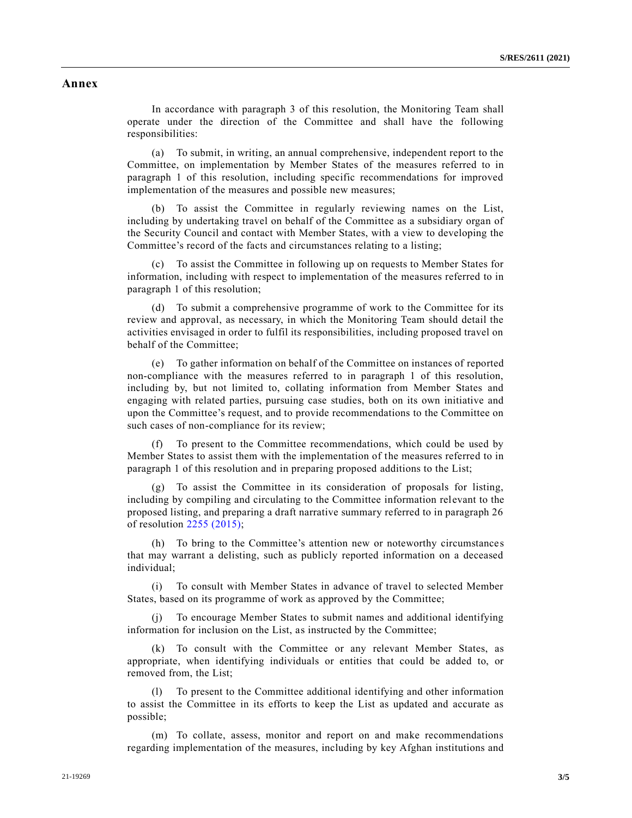### **Annex**

In accordance with paragraph 3 of this resolution, the Monitoring Team shall operate under the direction of the Committee and shall have the following responsibilities:

(a) To submit, in writing, an annual comprehensive, independent report to the Committee, on implementation by Member States of the measures referred to in paragraph 1 of this resolution, including specific recommendations for improved implementation of the measures and possible new measures;

(b) To assist the Committee in regularly reviewing names on the List, including by undertaking travel on behalf of the Committee as a subsidiary organ of the Security Council and contact with Member States, with a view to developing the Committee's record of the facts and circumstances relating to a listing;

(c) To assist the Committee in following up on requests to Member States for information, including with respect to implementation of the measures referred to in paragraph 1 of this resolution;

(d) To submit a comprehensive programme of work to the Committee for its review and approval, as necessary, in which the Monitoring Team should detail the activities envisaged in order to fulfil its responsibilities, including proposed travel on behalf of the Committee;

(e) To gather information on behalf of the Committee on instances of reported non-compliance with the measures referred to in paragraph 1 of this resolution, including by, but not limited to, collating information from Member States and engaging with related parties, pursuing case studies, both on its own initiative and upon the Committee's request, and to provide recommendations to the Committee on such cases of non-compliance for its review;

To present to the Committee recommendations, which could be used by Member States to assist them with the implementation of the measures referred to in paragraph 1 of this resolution and in preparing proposed additions to the List;

To assist the Committee in its consideration of proposals for listing, including by compiling and circulating to the Committee information relevant to the proposed listing, and preparing a draft narrative summary referred to in paragraph 26 of resolution [2255 \(2015\);](https://undocs.org/en/S/RES/2255(2015))

(h) To bring to the Committee's attention new or noteworthy circumstances that may warrant a delisting, such as publicly reported information on a deceased individual;

(i) To consult with Member States in advance of travel to selected Member States, based on its programme of work as approved by the Committee;

(j) To encourage Member States to submit names and additional identifying information for inclusion on the List, as instructed by the Committee;

(k) To consult with the Committee or any relevant Member States, as appropriate, when identifying individuals or entities that could be added to, or removed from, the List;

(l) To present to the Committee additional identifying and other information to assist the Committee in its efforts to keep the List as updated and accurate as possible;

(m) To collate, assess, monitor and report on and make recommendations regarding implementation of the measures, including by key Afghan institutions and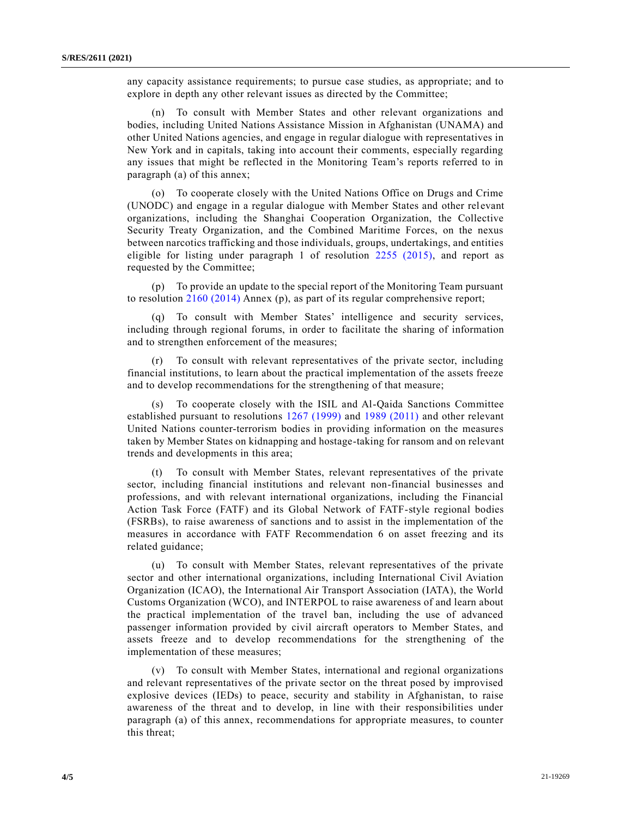any capacity assistance requirements; to pursue case studies, as appropriate; and to explore in depth any other relevant issues as directed by the Committee;

(n) To consult with Member States and other relevant organizations and bodies, including United Nations Assistance Mission in Afghanistan (UNAMA) and other United Nations agencies, and engage in regular dialogue with representatives in New York and in capitals, taking into account their comments, especially regarding any issues that might be reflected in the Monitoring Team's reports referred to in paragraph (a) of this annex;

(o) To cooperate closely with the United Nations Office on Drugs and Crime (UNODC) and engage in a regular dialogue with Member States and other relevant organizations, including the Shanghai Cooperation Organization, the Collective Security Treaty Organization, and the Combined Maritime Forces, on the nexus between narcotics trafficking and those individuals, groups, undertakings, and entities eligible for listing under paragraph 1 of resolution [2255 \(2015\),](https://undocs.org/en/S/RES/2255(2015)) and report as requested by the Committee;

(p) To provide an update to the special report of the Monitoring Team pursuant to resolution [2160 \(2014\)](https://undocs.org/en/S/RES/2160(2014)) Annex (p), as part of its regular comprehensive report;

(q) To consult with Member States' intelligence and security services, including through regional forums, in order to facilitate the sharing of information and to strengthen enforcement of the measures;

(r) To consult with relevant representatives of the private sector, including financial institutions, to learn about the practical implementation of the assets freeze and to develop recommendations for the strengthening of that measure;

(s) To cooperate closely with the ISIL and Al-Qaida Sanctions Committee established pursuant to resolutions [1267 \(1999\)](https://undocs.org/en/S/RES/1267(1999)) and [1989 \(2011\)](https://undocs.org/en/S/RES/1989(2011)) and other relevant United Nations counter-terrorism bodies in providing information on the measures taken by Member States on kidnapping and hostage-taking for ransom and on relevant trends and developments in this area;

(t) To consult with Member States, relevant representatives of the private sector, including financial institutions and relevant non-financial businesses and professions, and with relevant international organizations, including the Financial Action Task Force (FATF) and its Global Network of FATF-style regional bodies (FSRBs), to raise awareness of sanctions and to assist in the implementation of the measures in accordance with FATF Recommendation 6 on asset freezing and its related guidance;

(u) To consult with Member States, relevant representatives of the private sector and other international organizations, including International Civil Aviation Organization (ICAO), the International Air Transport Association (IATA), the World Customs Organization (WCO), and INTERPOL to raise awareness of and learn about the practical implementation of the travel ban, including the use of advanced passenger information provided by civil aircraft operators to Member States, and assets freeze and to develop recommendations for the strengthening of the implementation of these measures;

(v) To consult with Member States, international and regional organizations and relevant representatives of the private sector on the threat posed by improvised explosive devices (IEDs) to peace, security and stability in Afghanistan, to raise awareness of the threat and to develop, in line with their responsibilities under paragraph (a) of this annex, recommendations for appropriate measures, to counter this threat;